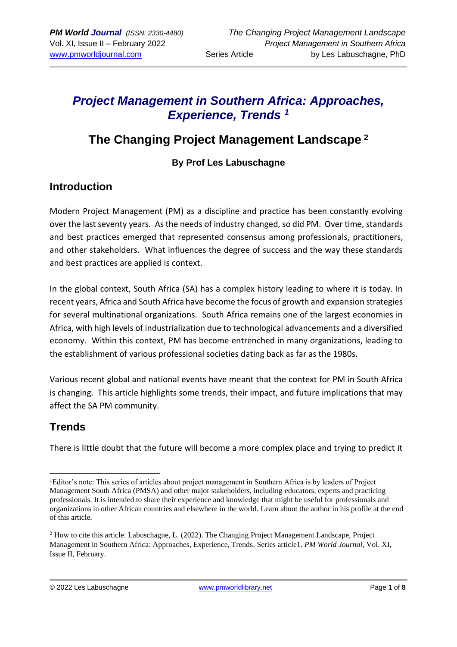# *Project Management in Southern Africa: Approaches, Experience, Trends <sup>1</sup>*

# **The Changing Project Management Landscape <sup>2</sup>**

### **By Prof Les Labuschagne**

# **Introduction**

Modern Project Management (PM) as a discipline and practice has been constantly evolving over the last seventy years. As the needs of industry changed, so did PM. Over time, standards and best practices emerged that represented consensus among professionals, practitioners, and other stakeholders. What influences the degree of success and the way these standards and best practices are applied is context.

In the global context, South Africa (SA) has a complex history leading to where it is today. In recent years, Africa and South Africa have become the focus of growth and expansion strategies for several multinational organizations. South Africa remains one of the largest economies in Africa, with high levels of industrialization due to technological advancements and a diversified economy. Within this context, PM has become entrenched in many organizations, leading to the establishment of various professional societies dating back as far as the 1980s.

Various recent global and national events have meant that the context for PM in South Africa is changing. This article highlights some trends, their impact, and future implications that may affect the SA PM community.

# **Trends**

There is little doubt that the future will become a more complex place and trying to predict it

<sup>1</sup>Editor's note: This series of articles about project management in Southern Africa is by leaders of Project Management South Africa (PMSA) and other major stakeholders, including educators, experts and practicing professionals. It is intended to share their experience and knowledge that might be useful for professionals and organizations in other African countries and elsewhere in the world. Learn about the author in his profile at the end of this article.

<sup>2</sup> How to cite this article: Labuschagne, L. (2022). The Changing Project Management Landscape, Project Management in Southern Africa: Approaches, Experience, Trends, Series article1. *PM World Journal,* Vol. XI, Issue II, February.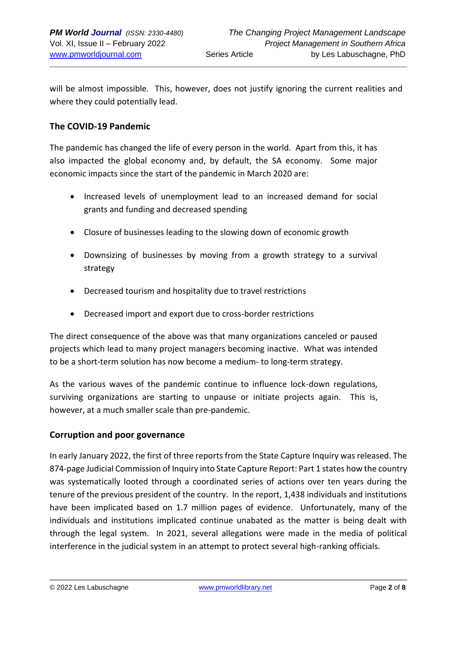will be almost impossible. This, however, does not justify ignoring the current realities and where they could potentially lead.

### **The COVID-19 Pandemic**

The pandemic has changed the life of every person in the world. Apart from this, it has also impacted the global economy and, by default, the SA economy. Some major economic impacts since the start of the pandemic in March 2020 are:

- Increased levels of unemployment lead to an increased demand for social grants and funding and decreased spending
- Closure of businesses leading to the slowing down of economic growth
- Downsizing of businesses by moving from a growth strategy to a survival strategy
- Decreased tourism and hospitality due to travel restrictions
- Decreased import and export due to cross-border restrictions

The direct consequence of the above was that many organizations canceled or paused projects which lead to many project managers becoming inactive. What was intended to be a short-term solution has now become a medium- to long-term strategy.

As the various waves of the pandemic continue to influence lock-down regulations, surviving organizations are starting to unpause or initiate projects again. This is, however, at a much smaller scale than pre-pandemic.

### **Corruption and poor governance**

In early January 2022, the first of three reports from the State Capture Inquiry was released. The 874-page Judicial Commission of Inquiry into State Capture Report: Part 1 states how the country was systematically looted through a coordinated series of actions over ten years during the tenure of the previous president of the country. In the report, 1,438 individuals and institutions have been implicated based on 1.7 million pages of evidence. Unfortunately, many of the individuals and institutions implicated continue unabated as the matter is being dealt with through the legal system. In 2021, several allegations were made in the media of political interference in the judicial system in an attempt to protect several high-ranking officials.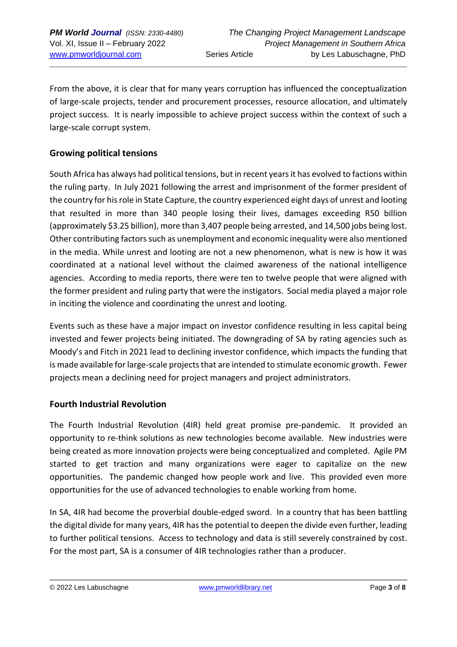From the above, it is clear that for many years corruption has influenced the conceptualization of large-scale projects, tender and procurement processes, resource allocation, and ultimately project success. It is nearly impossible to achieve project success within the context of such a large-scale corrupt system.

### **Growing political tensions**

South Africa has always had political tensions, but in recent years it has evolved to factions within the ruling party. In July 2021 following the arrest and imprisonment of the former president of the country for his role in State Capture, the country experienced eight days of unrest and looting that resulted in more than 340 people losing their lives, damages exceeding R50 billion (approximately \$3.25 billion), more than 3,407 people being arrested, and 14,500 jobs being lost. Other contributing factors such as unemployment and economic inequality were also mentioned in the media. While unrest and looting are not a new phenomenon, what is new is how it was coordinated at a national level without the claimed awareness of the national intelligence agencies. According to media reports, there were ten to twelve people that were aligned with the former president and ruling party that were the instigators. Social media played a major role in inciting the violence and coordinating the unrest and looting.

Events such as these have a major impact on investor confidence resulting in less capital being invested and fewer projects being initiated. The downgrading of SA by rating agencies such as Moody's and Fitch in 2021 lead to declining investor confidence, which impacts the funding that is made available for large-scale projects that are intended to stimulate economic growth. Fewer projects mean a declining need for project managers and project administrators.

### **Fourth Industrial Revolution**

The Fourth Industrial Revolution (4IR) held great promise pre-pandemic. It provided an opportunity to re-think solutions as new technologies become available. New industries were being created as more innovation projects were being conceptualized and completed. Agile PM started to get traction and many organizations were eager to capitalize on the new opportunities. The pandemic changed how people work and live. This provided even more opportunities for the use of advanced technologies to enable working from home.

In SA, 4IR had become the proverbial double-edged sword. In a country that has been battling the digital divide for many years, 4IR has the potential to deepen the divide even further, leading to further political tensions. Access to technology and data is still severely constrained by cost. For the most part, SA is a consumer of 4IR technologies rather than a producer.

<sup>© 2022</sup> Les Labuschagne [www.pmworldlibrary.net](http://www.pmworldlibrary.net/) Page **3** of **8**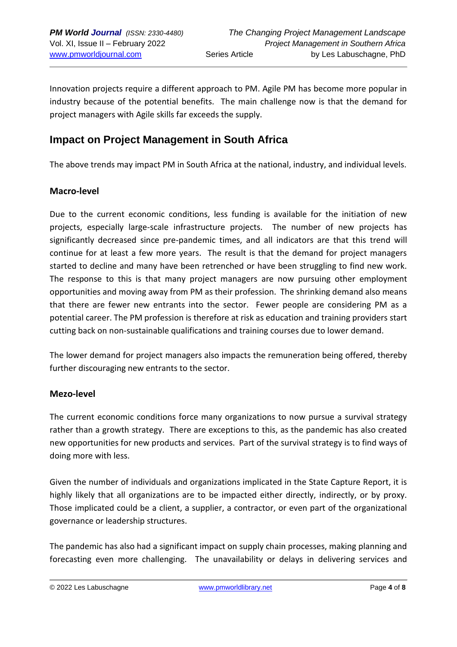Innovation projects require a different approach to PM. Agile PM has become more popular in industry because of the potential benefits. The main challenge now is that the demand for project managers with Agile skills far exceeds the supply.

## **Impact on Project Management in South Africa**

The above trends may impact PM in South Africa at the national, industry, and individual levels.

### **Macro-level**

Due to the current economic conditions, less funding is available for the initiation of new projects, especially large-scale infrastructure projects. The number of new projects has significantly decreased since pre-pandemic times, and all indicators are that this trend will continue for at least a few more years. The result is that the demand for project managers started to decline and many have been retrenched or have been struggling to find new work. The response to this is that many project managers are now pursuing other employment opportunities and moving away from PM as their profession. The shrinking demand also means that there are fewer new entrants into the sector. Fewer people are considering PM as a potential career. The PM profession is therefore at risk as education and training providers start cutting back on non-sustainable qualifications and training courses due to lower demand.

The lower demand for project managers also impacts the remuneration being offered, thereby further discouraging new entrants to the sector.

#### **Mezo-level**

The current economic conditions force many organizations to now pursue a survival strategy rather than a growth strategy. There are exceptions to this, as the pandemic has also created new opportunities for new products and services. Part of the survival strategy is to find ways of doing more with less.

Given the number of individuals and organizations implicated in the State Capture Report, it is highly likely that all organizations are to be impacted either directly, indirectly, or by proxy. Those implicated could be a client, a supplier, a contractor, or even part of the organizational governance or leadership structures.

The pandemic has also had a significant impact on supply chain processes, making planning and forecasting even more challenging. The unavailability or delays in delivering services and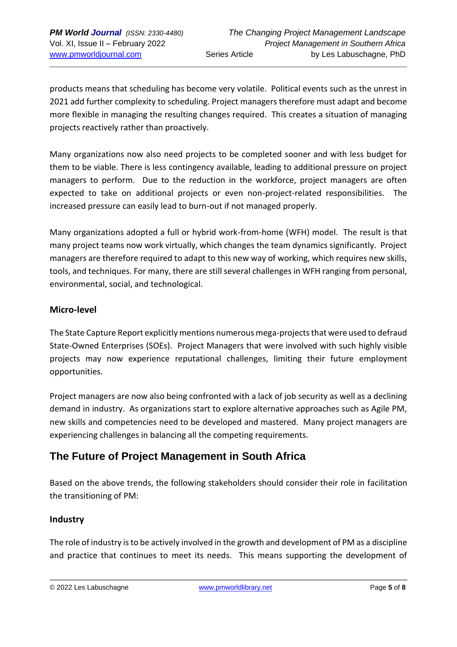products means that scheduling has become very volatile. Political events such as the unrest in 2021 add further complexity to scheduling. Project managers therefore must adapt and become more flexible in managing the resulting changes required. This creates a situation of managing projects reactively rather than proactively.

Many organizations now also need projects to be completed sooner and with less budget for them to be viable. There is less contingency available, leading to additional pressure on project managers to perform. Due to the reduction in the workforce, project managers are often expected to take on additional projects or even non-project-related responsibilities. The increased pressure can easily lead to burn-out if not managed properly.

Many organizations adopted a full or hybrid work-from-home (WFH) model. The result is that many project teams now work virtually, which changes the team dynamics significantly. Project managers are therefore required to adapt to this new way of working, which requires new skills, tools, and techniques. For many, there are still several challenges in WFH ranging from personal, environmental, social, and technological.

### **Micro-level**

The State Capture Report explicitly mentions numerous mega-projects that were used to defraud State-Owned Enterprises (SOEs). Project Managers that were involved with such highly visible projects may now experience reputational challenges, limiting their future employment opportunities.

Project managers are now also being confronted with a lack of job security as well as a declining demand in industry. As organizations start to explore alternative approaches such as Agile PM, new skills and competencies need to be developed and mastered. Many project managers are experiencing challenges in balancing all the competing requirements.

# **The Future of Project Management in South Africa**

Based on the above trends, the following stakeholders should consider their role in facilitation the transitioning of PM:

### **Industry**

The role of industry is to be actively involved in the growth and development of PM as a discipline and practice that continues to meet its needs. This means supporting the development of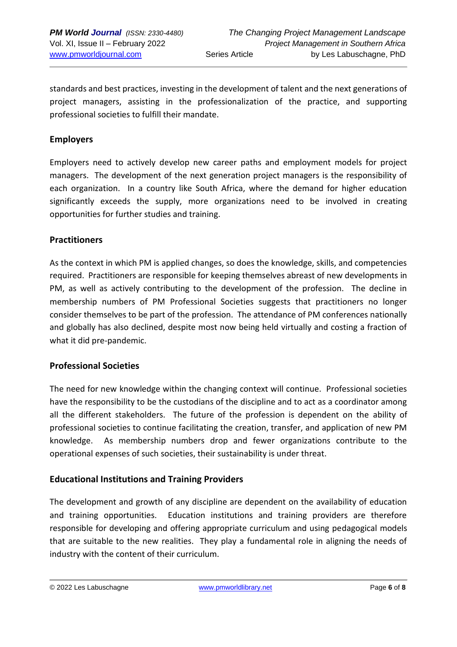standards and best practices, investing in the development of talent and the next generations of project managers, assisting in the professionalization of the practice, and supporting professional societies to fulfill their mandate.

### **Employers**

Employers need to actively develop new career paths and employment models for project managers. The development of the next generation project managers is the responsibility of each organization. In a country like South Africa, where the demand for higher education significantly exceeds the supply, more organizations need to be involved in creating opportunities for further studies and training.

#### **Practitioners**

As the context in which PM is applied changes, so does the knowledge, skills, and competencies required. Practitioners are responsible for keeping themselves abreast of new developments in PM, as well as actively contributing to the development of the profession. The decline in membership numbers of PM Professional Societies suggests that practitioners no longer consider themselves to be part of the profession. The attendance of PM conferences nationally and globally has also declined, despite most now being held virtually and costing a fraction of what it did pre-pandemic.

### **Professional Societies**

The need for new knowledge within the changing context will continue. Professional societies have the responsibility to be the custodians of the discipline and to act as a coordinator among all the different stakeholders. The future of the profession is dependent on the ability of professional societies to continue facilitating the creation, transfer, and application of new PM knowledge. As membership numbers drop and fewer organizations contribute to the operational expenses of such societies, their sustainability is under threat.

### **Educational Institutions and Training Providers**

The development and growth of any discipline are dependent on the availability of education and training opportunities. Education institutions and training providers are therefore responsible for developing and offering appropriate curriculum and using pedagogical models that are suitable to the new realities. They play a fundamental role in aligning the needs of industry with the content of their curriculum.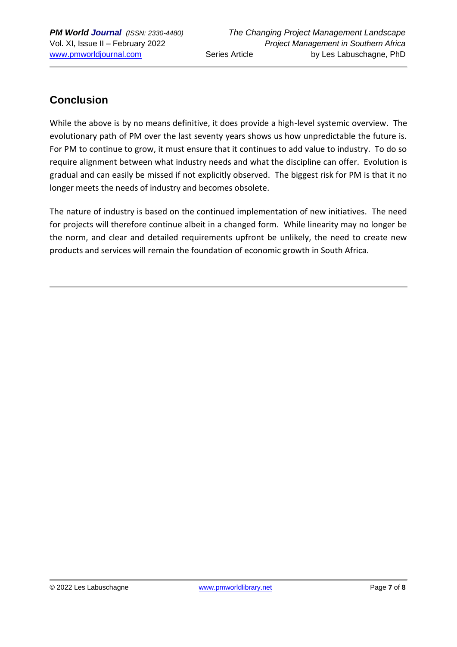# **Conclusion**

While the above is by no means definitive, it does provide a high-level systemic overview. The evolutionary path of PM over the last seventy years shows us how unpredictable the future is. For PM to continue to grow, it must ensure that it continues to add value to industry. To do so require alignment between what industry needs and what the discipline can offer. Evolution is gradual and can easily be missed if not explicitly observed. The biggest risk for PM is that it no longer meets the needs of industry and becomes obsolete.

The nature of industry is based on the continued implementation of new initiatives. The need for projects will therefore continue albeit in a changed form. While linearity may no longer be the norm, and clear and detailed requirements upfront be unlikely, the need to create new products and services will remain the foundation of economic growth in South Africa.